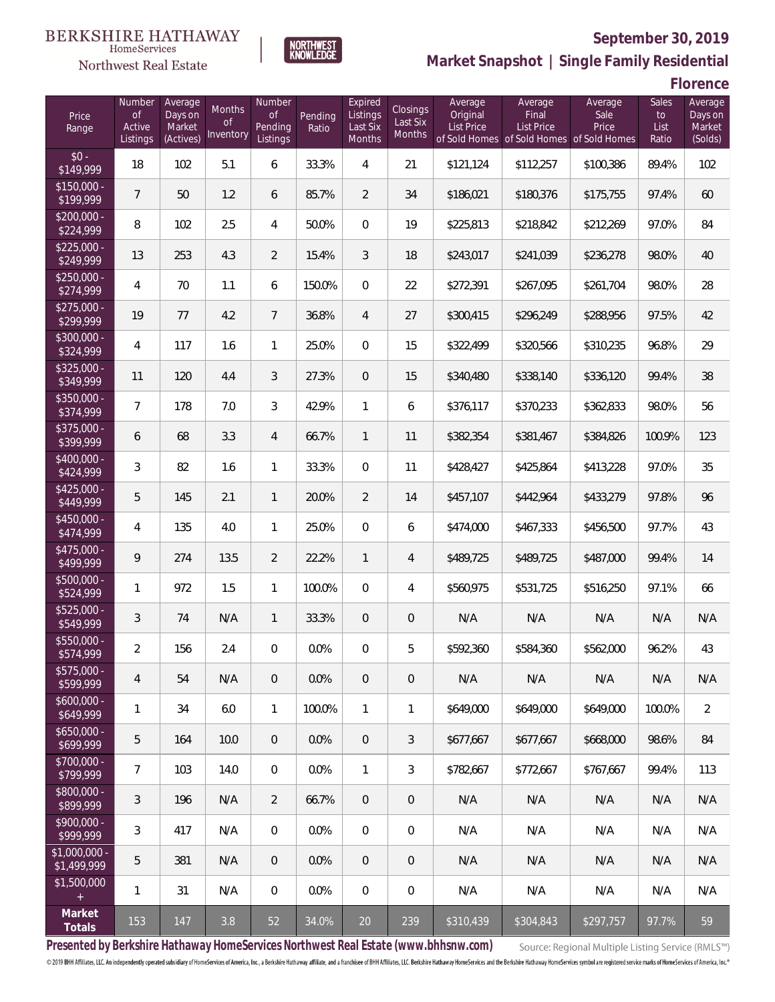#### BERKSHIRE HATHAWAY HomeServices

# Northwest Real Estate



# **September 30, 2019**

**Market Snapshot | Single Family Residential**

**Florence**

| Price<br>Range               | Number<br>of<br>Active<br>Listings | Average<br>Days on<br>Market<br>(Actives) | Months<br>0f<br>Inventory | Number<br><b>of</b><br>Pending<br>Listings | Pending<br>Ratio | Expired<br>Listings<br>Last Six<br>Months | Closings<br>Last Six<br>Months | Average<br>Original<br><b>List Price</b> | Average<br>Final<br>List Price<br>of Sold Homes of Sold Homes of Sold Homes | Average<br>Sale<br>Price | Sales<br>to<br>List<br>Ratio | Average<br>Days on<br>Market<br>(Solds) |
|------------------------------|------------------------------------|-------------------------------------------|---------------------------|--------------------------------------------|------------------|-------------------------------------------|--------------------------------|------------------------------------------|-----------------------------------------------------------------------------|--------------------------|------------------------------|-----------------------------------------|
| $$0 -$<br>\$149,999          | 18                                 | 102                                       | 5.1                       | 6                                          | 33.3%            | 4                                         | 21                             | \$121,124                                | \$112,257                                                                   | \$100,386                | 89.4%                        | 102                                     |
| $$150,000 -$<br>\$199,999    | $\overline{7}$                     | 50                                        | 1.2                       | 6                                          | 85.7%            | 2                                         | 34                             | \$186,021                                | \$180,376                                                                   | \$175,755                | 97.4%                        | 60                                      |
| $$200,000 -$<br>\$224,999    | 8                                  | 102                                       | 2.5                       | 4                                          | 50.0%            | $\Omega$                                  | 19                             | \$225,813                                | \$218,842                                                                   | \$212,269                | 97.0%                        | 84                                      |
| $$225,000 -$<br>\$249,999    | 13                                 | 253                                       | 4.3                       | $\overline{2}$                             | 15.4%            | 3                                         | 18                             | \$243,017                                | \$241,039                                                                   | \$236,278                | 98.0%                        | 40                                      |
| $$250,000 -$<br>\$274,999    | 4                                  | 70                                        | 1.1                       | 6                                          | 150.0%           | $\overline{0}$                            | 22                             | \$272,391                                | \$267,095                                                                   | \$261,704                | 98.0%                        | 28                                      |
| $$275,000 -$<br>\$299,999    | 19                                 | 77                                        | 4.2                       | $7\overline{ }$                            | 36.8%            | $\overline{4}$                            | 27                             | \$300,415                                | \$296,249                                                                   | \$288,956                | 97.5%                        | 42                                      |
| $$300,000 -$<br>\$324,999    | 4                                  | 117                                       | 1.6                       | $\mathbf{1}$                               | 25.0%            | $\overline{0}$                            | 15                             | \$322,499                                | \$320,566                                                                   | \$310,235                | 96.8%                        | 29                                      |
| $$325,000 -$<br>\$349,999    | 11                                 | 120                                       | 4.4                       | 3                                          | 27.3%            | $\overline{0}$                            | 15                             | \$340,480                                | \$338,140                                                                   | \$336,120                | 99.4%                        | 38                                      |
| $$350,000 -$<br>\$374,999    | 7                                  | 178                                       | 7.0                       | 3                                          | 42.9%            | $\mathbf{1}$                              | 6                              | \$376,117                                | \$370,233                                                                   | \$362,833                | 98.0%                        | 56                                      |
| $$375,000 -$<br>\$399,999    | 6                                  | 68                                        | 3.3                       | 4                                          | 66.7%            | $\mathbf{1}$                              | 11                             | \$382,354                                | \$381,467                                                                   | \$384,826                | 100.9%                       | 123                                     |
| $$400,000 -$<br>\$424,999    | 3                                  | 82                                        | 1.6                       | $\mathbf{1}$                               | 33.3%            | $\overline{0}$                            | 11                             | \$428,427                                | \$425,864                                                                   | \$413,228                | 97.0%                        | 35                                      |
| $$425,000 -$<br>\$449,999    | 5                                  | 145                                       | 2.1                       | $\mathbf{1}$                               | 20.0%            | $\overline{2}$                            | 14                             | \$457,107                                | \$442,964                                                                   | \$433,279                | 97.8%                        | 96                                      |
| $$450,000 -$<br>\$474,999    | 4                                  | 135                                       | 4.0                       | $\mathbf{1}$                               | 25.0%            | $\overline{0}$                            | 6                              | \$474,000                                | \$467,333                                                                   | \$456,500                | 97.7%                        | 43                                      |
| $$475,000 -$<br>\$499,999    | 9                                  | 274                                       | 13.5                      | $\overline{2}$                             | 22.2%            | $\mathbf{1}$                              | $\overline{4}$                 | \$489,725                                | \$489,725                                                                   | \$487,000                | 99.4%                        | 14                                      |
| $$500,000 -$<br>\$524,999    | 1                                  | 972                                       | 1.5                       | $\mathbf{1}$                               | 100.0%           | $\overline{0}$                            | $\overline{4}$                 | \$560,975                                | \$531,725                                                                   | \$516,250                | 97.1%                        | 66                                      |
| $$525,000 -$<br>\$549,999    | 3                                  | 74                                        | N/A                       | $\mathbf{1}$                               | 33.3%            | $\overline{0}$                            | $\mathbf 0$                    | N/A                                      | N/A                                                                         | N/A                      | N/A                          | N/A                                     |
| $$550,000 -$<br>\$574,999    | $\overline{2}$                     | 156                                       | 2.4                       | $\overline{0}$                             | 0.0%             | $\overline{0}$                            | 5                              | \$592,360                                | \$584,360                                                                   | \$562,000                | 96.2%                        | 43                                      |
| $$575,000 -$<br>\$599,999    | 4                                  | 54                                        | N/A                       | $\overline{0}$                             | 0.0%             | $\overline{0}$                            | $\mathbf 0$                    | N/A                                      | N/A                                                                         | N/A                      | N/A                          | N/A                                     |
| $$600,000 -$<br>\$649,999    | 1                                  | 34                                        | 6.0                       | $\mathbf{1}$                               | 100.0%           | $\mathbf{1}$                              | 1                              | \$649,000                                | \$649,000                                                                   | \$649,000                | 100.0%                       | $\overline{2}$                          |
| $$650,000 -$<br>\$699,999    | 5                                  | 164                                       | 10.0                      | $\overline{0}$                             | 0.0%             | $\overline{0}$                            | $\mathfrak{Z}$                 | \$677,667                                | \$677,667                                                                   | \$668,000                | 98.6%                        | 84                                      |
| $$700,000 -$<br>\$799,999    | $\overline{7}$                     | 103                                       | 14.0                      | $\overline{0}$                             | 0.0%             | $\mathbf{1}$                              | 3                              | \$782,667                                | \$772,667                                                                   | \$767,667                | 99.4%                        | 113                                     |
| $$800,000 -$<br>\$899,999    | 3                                  | 196                                       | N/A                       | $\overline{2}$                             | 66.7%            | $\overline{0}$                            | 0                              | N/A                                      | N/A                                                                         | N/A                      | N/A                          | N/A                                     |
| $$900,000 -$<br>\$999,999    | 3                                  | 417                                       | N/A                       | $\overline{0}$                             | 0.0%             | $\overline{0}$                            | 0                              | N/A                                      | N/A                                                                         | N/A                      | N/A                          | N/A                                     |
| \$1,000,000 -<br>\$1,499,999 | 5                                  | 381                                       | N/A                       | $\overline{0}$                             | 0.0%             | $\overline{0}$                            | 0                              | N/A                                      | N/A                                                                         | N/A                      | N/A                          | N/A                                     |
| \$1,500,000<br>$+$           | 1                                  | 31                                        | N/A                       | $\mathbf 0$                                | 0.0%             | $\mathbf 0$                               | $\mathbf 0$                    | N/A                                      | N/A                                                                         | N/A                      | N/A                          | N/A                                     |
| Market<br>Totals             | 153                                | 147                                       | 3.8                       | 52                                         | 34.0%            | 20                                        | 239                            | \$310,439                                | \$304,843                                                                   | \$297,757                | 97.7%                        | 59                                      |

**Presented by Berkshire Hathaway HomeServices Northwest Real Estate (www.bhhsnw.com)**

Source: Regional Multiple Listing Service (RMLS™)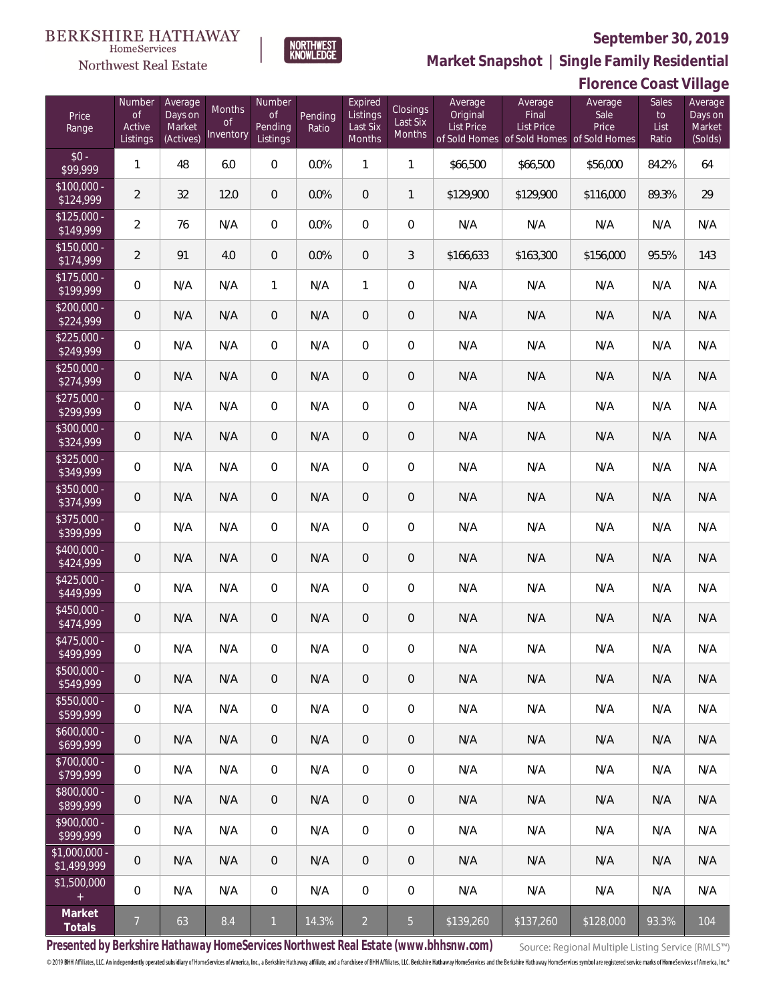**Florence Coast Village**



**Market Snapshot | Single Family Residential**

# NORTHWEST<br>KNOWLEDGE

Northwest Real Estate

| Price<br>Range               | Number<br><b>of</b><br>Active<br>Listings | Average<br>Days on<br>Market<br>(Actives) | <b>Months</b><br>0f<br>Inventory | Number<br><b>of</b><br>Pending<br>Listings | Pending<br>Ratio | Expired<br>Listings<br>Last Six<br>Months | <b>Closings</b><br>Last Six<br>Months | Average<br>Original<br>List Price | Average<br>Final<br>List Price<br>of Sold Homes of Sold Homes of Sold Homes | Average<br>Sale<br>Price | Sales<br>to<br>List<br>Ratio | Average<br>Days on<br>Market<br>(Solds) |
|------------------------------|-------------------------------------------|-------------------------------------------|----------------------------------|--------------------------------------------|------------------|-------------------------------------------|---------------------------------------|-----------------------------------|-----------------------------------------------------------------------------|--------------------------|------------------------------|-----------------------------------------|
| $$0 -$<br>\$99,999           | $\mathbf{1}$                              | 48                                        | 6.0                              | 0                                          | 0.0%             | $\mathbf{1}$                              | $\mathbf{1}$                          | \$66,500                          | \$66,500                                                                    | \$56,000                 | 84.2%                        | 64                                      |
| $$100,000 -$<br>\$124,999    | $\overline{2}$                            | 32                                        | 12.0                             | $\overline{0}$                             | 0.0%             | $\overline{0}$                            | $\mathbf{1}$                          | \$129,900                         | \$129,900                                                                   | \$116,000                | 89.3%                        | 29                                      |
| $$125,000 -$<br>\$149,999    | $\overline{a}$                            | 76                                        | N/A                              | $\overline{0}$                             | 0.0%             | $\mathbf{0}$                              | $\overline{0}$                        | N/A                               | N/A                                                                         | N/A                      | N/A                          | N/A                                     |
| $$150,000 -$<br>\$174,999    | $\overline{2}$                            | 91                                        | 4.0                              | $\overline{0}$                             | 0.0%             | $\overline{0}$                            | 3                                     | \$166,633                         | \$163,300                                                                   | \$156,000                | 95.5%                        | 143                                     |
| $$175,000 -$<br>\$199,999    | 0                                         | N/A                                       | N/A                              | $\mathbf{1}$                               | N/A              | $\mathbf{1}$                              | $\overline{0}$                        | N/A                               | N/A                                                                         | N/A                      | N/A                          | N/A                                     |
| $$200,000 -$<br>\$224,999    | $\mathbf 0$                               | N/A                                       | N/A                              | 0                                          | N/A              | $\overline{0}$                            | $\theta$                              | N/A                               | N/A                                                                         | N/A                      | N/A                          | N/A                                     |
| $$225,000 -$<br>\$249,999    | 0                                         | N/A                                       | N/A                              | 0                                          | N/A              | $\overline{0}$                            | $\boldsymbol{0}$                      | N/A                               | N/A                                                                         | N/A                      | N/A                          | N/A                                     |
| $$250,000 -$<br>\$274,999    | 0                                         | N/A                                       | N/A                              | 0                                          | N/A              | $\overline{0}$                            | $\theta$                              | N/A                               | N/A                                                                         | N/A                      | N/A                          | N/A                                     |
| $$275,000 -$<br>\$299,999    | 0                                         | N/A                                       | N/A                              | 0                                          | N/A              | $\overline{0}$                            | $\mathbf 0$                           | N/A                               | N/A                                                                         | N/A                      | N/A                          | N/A                                     |
| $$300,000 -$<br>\$324,999    | 0                                         | N/A                                       | N/A                              | 0                                          | N/A              | $\overline{0}$                            | $\theta$                              | N/A                               | N/A                                                                         | N/A                      | N/A                          | N/A                                     |
| $$325,000 -$<br>\$349,999    | $\boldsymbol{0}$                          | N/A                                       | N/A                              | 0                                          | N/A              | $\overline{0}$                            | $\mathbf 0$                           | N/A                               | N/A                                                                         | N/A                      | N/A                          | N/A                                     |
| $$350,000 -$<br>\$374,999    | 0                                         | N/A                                       | N/A                              | 0                                          | N/A              | $\overline{0}$                            | $\mathbf 0$                           | N/A                               | N/A                                                                         | N/A                      | N/A                          | N/A                                     |
| $$375,000 -$<br>\$399,999    | $\boldsymbol{0}$                          | N/A                                       | N/A                              | 0                                          | N/A              | $\overline{0}$                            | $\mathbf 0$                           | N/A                               | N/A                                                                         | N/A                      | N/A                          | N/A                                     |
| \$400,000 -<br>\$424,999     | 0                                         | N/A                                       | N/A                              | 0                                          | N/A              | $\overline{0}$                            | $\mathbf 0$                           | N/A                               | N/A                                                                         | N/A                      | N/A                          | N/A                                     |
| $$425,000 -$<br>\$449,999    | $\boldsymbol{0}$                          | N/A                                       | N/A                              | 0                                          | N/A              | $\overline{0}$                            | $\mathbf 0$                           | N/A                               | N/A                                                                         | N/A                      | N/A                          | N/A                                     |
| $$450,000 -$<br>\$474,999    | 0                                         | N/A                                       | N/A                              | 0                                          | N/A              | $\overline{0}$                            | $\theta$                              | N/A                               | N/A                                                                         | N/A                      | N/A                          | N/A                                     |
| $$475,000 -$<br>\$499,999    | $\boldsymbol{0}$                          | N/A                                       | N/A                              | 0                                          | N/A              | $\overline{0}$                            | $\boldsymbol{0}$                      | N/A                               | N/A                                                                         | N/A                      | N/A                          | N/A                                     |
| $$500,000 -$<br>\$549,999    | 0                                         | N/A                                       | N/A                              | 0                                          | N/A              | 0                                         | $\overline{0}$                        | N/A                               | N/A                                                                         | N/A                      | N/A                          | N/A                                     |
| $$550,000 -$<br>\$599,999    | 0                                         | N/A                                       | N/A                              | $\mathbf 0$                                | N/A              | $\mathbf 0$                               | $\overline{0}$                        | N/A                               | N/A                                                                         | N/A                      | N/A                          | N/A                                     |
| $$600,000 -$<br>\$699,999    | $\mathbf 0$                               | N/A                                       | N/A                              | $\overline{0}$                             | N/A              | $\mathbf{0}$                              | $\overline{0}$                        | N/A                               | N/A                                                                         | N/A                      | N/A                          | N/A                                     |
| \$700,000 -<br>\$799,999     | 0                                         | N/A                                       | N/A                              | $\overline{0}$                             | N/A              | $\mathbf 0$                               | $\overline{0}$                        | N/A                               | N/A                                                                         | N/A                      | N/A                          | N/A                                     |
| \$800,000 -<br>\$899,999     | $\mathbf 0$                               | N/A                                       | N/A                              | $\overline{0}$                             | N/A              | $\mathbf{0}$                              | $\overline{0}$                        | N/A                               | N/A                                                                         | N/A                      | N/A                          | N/A                                     |
| $$900,000 -$<br>\$999,999    | 0                                         | N/A                                       | N/A                              | $\overline{0}$                             | N/A              | $\mathbf 0$                               | 0                                     | N/A                               | N/A                                                                         | N/A                      | N/A                          | N/A                                     |
| \$1,000,000 -<br>\$1,499,999 | 0                                         | N/A                                       | N/A                              | $\overline{0}$                             | N/A              | $\mathbf{0}$                              | $\mathbf 0$                           | N/A                               | N/A                                                                         | N/A                      | N/A                          | N/A                                     |
| \$1,500,000<br>$\pm$         | 0                                         | N/A                                       | N/A                              | $\overline{0}$                             | N/A              | $\mathbf 0$                               | $\mathbf 0$                           | N/A                               | N/A                                                                         | N/A                      | N/A                          | N/A                                     |
| Market<br>Totals             | $\overline{7}$                            | 63                                        | 8.4                              | $\mathbf{1}$                               | 14.3%            | $\overline{2}$                            | $\overline{5}$                        | \$139,260                         | \$137,260                                                                   | \$128,000                | 93.3%                        | 104                                     |

**Presented by Berkshire Hathaway HomeServices Northwest Real Estate (www.bhhsnw.com)**

Source: Regional Multiple Listing Service (RMLS™)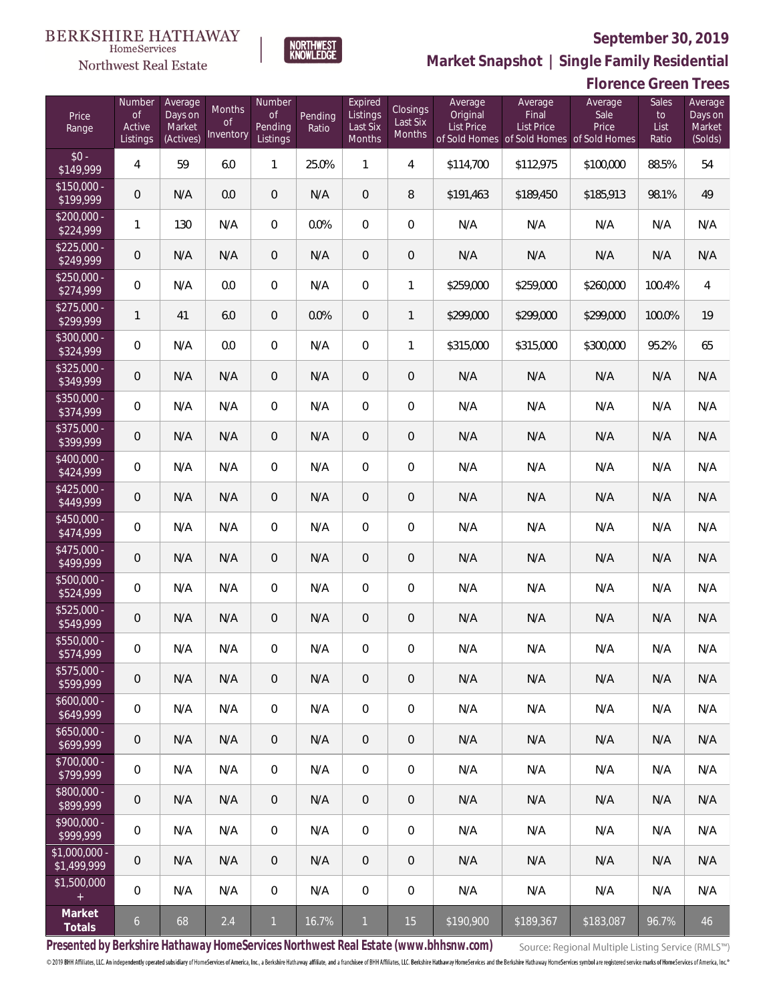

NORTHWEST<br>KNOWLEDGE

Northwest Real Estate

**Market Snapshot | Single Family Residential**

|                               | <b>Florence Green Trees</b> |                     |                         |                     |         |                     |                      |                     |                                                                |                 |               |                    |
|-------------------------------|-----------------------------|---------------------|-------------------------|---------------------|---------|---------------------|----------------------|---------------------|----------------------------------------------------------------|-----------------|---------------|--------------------|
| Price                         | Number<br><b>of</b>         | Average<br>Days on  | Months<br><sub>of</sub> | Number<br><b>of</b> | Pending | Expired<br>Listings | Closings<br>Last Six | Average<br>Original | Average<br>Final                                               | Average<br>Sale | Sales<br>to   | Average<br>Days on |
| Range                         | Active<br>Listings          | Market<br>(Actives) | Inventory               | Pending<br>Listings | Ratio   | Last Six<br>Months  | Months               | <b>List Price</b>   | <b>List Price</b><br>of Sold Homes of Sold Homes of Sold Homes | Price           | List<br>Ratio | Market<br>(Solds)  |
| $$0 -$<br>\$149,999           | 4                           | 59                  | 6.0                     | 1                   | 25.0%   | $\mathbf{1}$        | 4                    | \$114,700           | \$112,975                                                      | \$100,000       | 88.5%         | 54                 |
| $$150,000 -$<br>\$199,999     | $\theta$                    | N/A                 | 0.0                     | $\theta$            | N/A     | $\overline{0}$      | 8                    | \$191,463           | \$189,450                                                      | \$185,913       | 98.1%         | 49                 |
| $$200,000 -$<br>\$224,999     | 1                           | 130                 | N/A                     | $\mathbf{0}$        | 0.0%    | $\mathbf{0}$        | 0                    | N/A                 | N/A                                                            | N/A             | N/A           | N/A                |
| $$225,000 -$<br>\$249,999     | $\mathbf 0$                 | N/A                 | N/A                     | $\overline{0}$      | N/A     | $\overline{0}$      | $\overline{0}$       | N/A                 | N/A                                                            | N/A             | N/A           | N/A                |
| $$250,000 -$<br>\$274,999     | 0                           | N/A                 | 0.0                     | $\mathbf{0}$        | N/A     | $\mathbf{0}$        | 1                    | \$259,000           | \$259,000                                                      | \$260,000       | 100.4%        | 4                  |
| $$275,000 -$<br>\$299,999     | $\mathbf{1}$                | 41                  | 6.0                     | $\theta$            | 0.0%    | $\overline{0}$      | 1                    | \$299,000           | \$299,000                                                      | \$299,000       | 100.0%        | 19                 |
| $$300,000 -$<br>\$324,999     | 0                           | N/A                 | 0.0                     | $\mathbf{0}$        | N/A     | $\mathbf{0}$        | 1                    | \$315,000           | \$315,000                                                      | \$300,000       | 95.2%         | 65                 |
| $$325,000 -$<br>\$349,999     | $\mathbf 0$                 | N/A                 | N/A                     | $\overline{0}$      | N/A     | $\overline{0}$      | $\overline{0}$       | N/A                 | N/A                                                            | N/A             | N/A           | N/A                |
| $$350,000 -$<br>\$374,999     | 0                           | N/A                 | N/A                     | $\mathbf{0}$        | N/A     | $\mathbf{0}$        | 0                    | N/A                 | N/A                                                            | N/A             | N/A           | N/A                |
| $$375,000 -$<br>\$399,999     | $\mathbf 0$                 | N/A                 | N/A                     | $\overline{0}$      | N/A     | $\overline{0}$      | $\overline{0}$       | N/A                 | N/A                                                            | N/A             | N/A           | N/A                |
| $$400.000 -$<br>\$424,999     | 0                           | N/A                 | N/A                     | $\overline{0}$      | N/A     | $\overline{0}$      | $\boldsymbol{0}$     | N/A                 | N/A                                                            | N/A             | N/A           | N/A                |
| $$425,000 -$<br>\$449,999     | $\mathbf 0$                 | N/A                 | N/A                     | $\overline{0}$      | N/A     | $\overline{0}$      | $\overline{0}$       | N/A                 | N/A                                                            | N/A             | N/A           | N/A                |
| $$450.000 -$<br>\$474,999     | 0                           | N/A                 | N/A                     | $\overline{0}$      | N/A     | $\overline{0}$      | $\boldsymbol{0}$     | N/A                 | N/A                                                            | N/A             | N/A           | N/A                |
| $$475,000 -$<br>\$499,999     | $\mathbf 0$                 | N/A                 | N/A                     | $\overline{0}$      | N/A     | $\overline{0}$      | $\overline{0}$       | N/A                 | N/A                                                            | N/A             | N/A           | N/A                |
| \$500,000 -<br>\$524,999      | 0                           | N/A                 | N/A                     | $\overline{0}$      | N/A     | $\overline{0}$      | $\boldsymbol{0}$     | N/A                 | N/A                                                            | N/A             | N/A           | N/A                |
| $$525,000 -$<br>\$549,999     | $\mathbf 0$                 | N/A                 | N/A                     | 0                   | N/A     | $\mathbf 0$         | $\overline{0}$       | N/A                 | N/A                                                            | N/A             | N/A           | N/A                |
| \$550,000 -<br>\$574,999      | 0                           | N/A                 | N/A                     | $\mathbf{0}$        | N/A     | $\overline{0}$      | $\overline{0}$       | N/A                 | N/A                                                            | N/A             | N/A           | N/A                |
| $$575,000 -$<br>\$599,999     | 0                           | N/A                 | N/A                     | $\overline{0}$      | N/A     | $\overline{0}$      | $\overline{0}$       | N/A                 | N/A                                                            | N/A             | N/A           | N/A                |
| $$600,000 -$<br>\$649,999     | 0                           | N/A                 | N/A                     | $\overline{0}$      | N/A     | $\overline{0}$      | $\overline{0}$       | N/A                 | N/A                                                            | N/A             | N/A           | N/A                |
| $$650,000 -$<br>\$699,999     | 0                           | N/A                 | N/A                     | $\overline{0}$      | N/A     | $\overline{0}$      | $\overline{0}$       | N/A                 | N/A                                                            | N/A             | N/A           | N/A                |
| $$700,000 -$<br>\$799,999     | 0                           | N/A                 | N/A                     | $\overline{0}$      | N/A     | $\overline{0}$      | $\overline{0}$       | N/A                 | N/A                                                            | N/A             | N/A           | N/A                |
| $$800,000 -$<br>\$899,999     | 0                           | N/A                 | N/A                     | $\overline{0}$      | N/A     | $\overline{0}$      | $\overline{0}$       | N/A                 | N/A                                                            | N/A             | N/A           | N/A                |
| $$900,000 -$<br>\$999,999     | 0                           | N/A                 | N/A                     | $\overline{0}$      | N/A     | $\overline{0}$      | $\overline{0}$       | N/A                 | N/A                                                            | N/A             | N/A           | N/A                |
| $$1,000,000 -$<br>\$1,499,999 | $\overline{0}$              | N/A                 | N/A                     | $\overline{0}$      | N/A     | $\overline{0}$      | $\overline{0}$       | N/A                 | N/A                                                            | N/A             | N/A           | N/A                |
| \$1,500,000<br>$+$            | 0                           | N/A                 | N/A                     | 0                   | N/A     | 0                   | $\overline{0}$       | N/A                 | N/A                                                            | N/A             | N/A           | N/A                |
| Market<br>Totals              | 6 <sup>1</sup>              | 68                  | 2.4                     | $\mathbf{1}$        | 16.7%   | $\mathbf{1}$        | 15                   | \$190,900           | \$189,367                                                      | \$183,087       | 96.7%         | 46                 |

**Presented by Berkshire Hathaway HomeServices Northwest Real Estate (www.bhhsnw.com)**

Source: Regional Multiple Listing Service (RMLS™)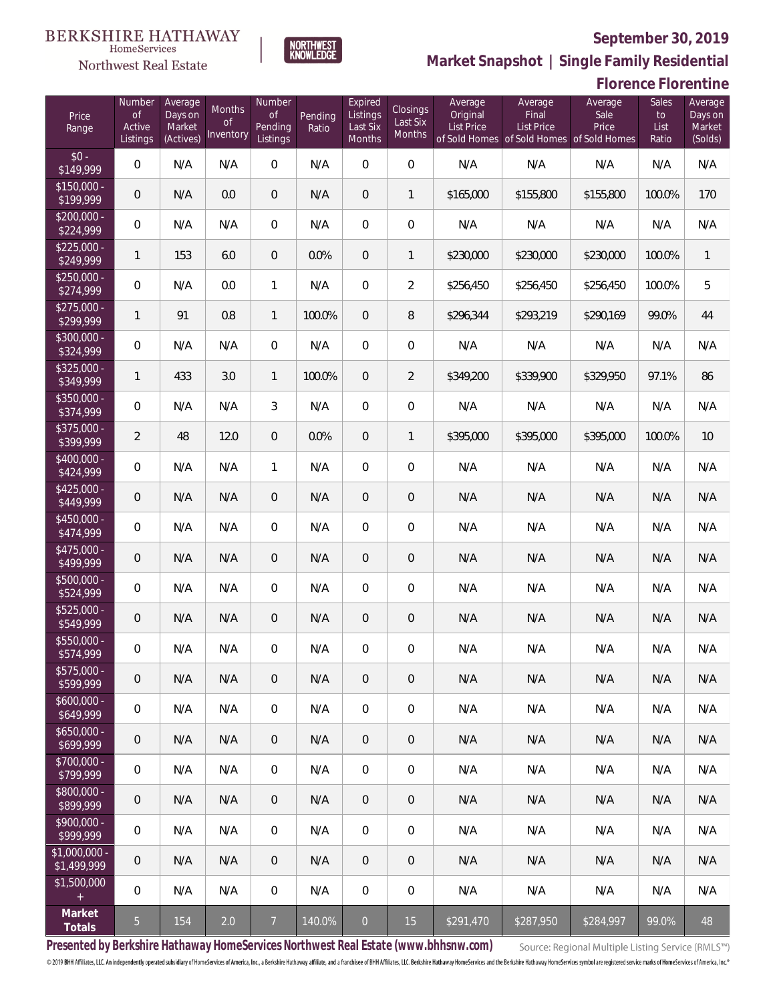

**NORTHWEST**<br>KNOWLEDGE

Northwest Real Estate

**Market Snapshot | Single Family Residential**

## **Florence Florentine**

| Price<br>Range               | Number<br>of<br>Active<br>Listings | Average<br>Days on<br>Market<br>(Actives) | Months<br>0f<br>Inventory | Number<br>0f<br>Pending<br>Listings | Pending<br>Ratio | Expired<br>Listings<br>Last Six<br>Months | Closings<br>Last Six<br>Months | Average<br>Original<br><b>List Price</b> | Average<br>Final<br><b>List Price</b><br>of Sold Homes of Sold Homes of Sold Homes | Average<br>Sale<br>Price | Sales<br>to<br>List<br>Ratio | Average<br>Days on<br>Market<br>(Solds) |
|------------------------------|------------------------------------|-------------------------------------------|---------------------------|-------------------------------------|------------------|-------------------------------------------|--------------------------------|------------------------------------------|------------------------------------------------------------------------------------|--------------------------|------------------------------|-----------------------------------------|
| $$0 -$<br>\$149,999          | $\overline{0}$                     | N/A                                       | N/A                       | $\overline{0}$                      | N/A              | $\overline{0}$                            | $\overline{0}$                 | N/A                                      | N/A                                                                                | N/A                      | N/A                          | N/A                                     |
| $$150,000 -$<br>\$199,999    | 0                                  | N/A                                       | 0.0                       | $\overline{0}$                      | N/A              | $\overline{0}$                            | $\mathbf{1}$                   | \$165,000                                | \$155,800                                                                          | \$155,800                | 100.0%                       | 170                                     |
| $$200,000 -$<br>\$224,999    | $\overline{0}$                     | N/A                                       | N/A                       | $\Omega$                            | N/A              | $\overline{0}$                            | $\overline{0}$                 | N/A                                      | N/A                                                                                | N/A                      | N/A                          | N/A                                     |
| $$225,000 -$<br>\$249,999    | 1                                  | 153                                       | 6.0                       | $\overline{0}$                      | 0.0%             | $\overline{0}$                            | $\mathbf{1}$                   | \$230,000                                | \$230,000                                                                          | \$230,000                | 100.0%                       | $\mathbf{1}$                            |
| $$250,000 -$<br>\$274,999    | $\overline{0}$                     | N/A                                       | 0.0                       | $\mathbf{1}$                        | N/A              | $\overline{0}$                            | $\overline{2}$                 | \$256,450                                | \$256,450                                                                          | \$256,450                | 100.0%                       | 5                                       |
| $$275,000 -$<br>\$299,999    | 1                                  | 91                                        | 0.8                       | $\mathbf{1}$                        | 100.0%           | $\overline{0}$                            | 8                              | \$296,344                                | \$293,219                                                                          | \$290,169                | 99.0%                        | 44                                      |
| $$300,000 -$<br>\$324,999    | $\overline{0}$                     | N/A                                       | N/A                       | $\overline{0}$                      | N/A              | $\overline{0}$                            | $\overline{0}$                 | N/A                                      | N/A                                                                                | N/A                      | N/A                          | N/A                                     |
| $$325,000 -$<br>\$349,999    | $\mathbf{1}$                       | 433                                       | 3.0                       | $\mathbf{1}$                        | 100.0%           | $\overline{0}$                            | $\overline{2}$                 | \$349,200                                | \$339,900                                                                          | \$329,950                | 97.1%                        | 86                                      |
| $$350,000 -$<br>\$374,999    | $\overline{0}$                     | N/A                                       | N/A                       | 3                                   | N/A              | $\overline{0}$                            | $\overline{0}$                 | N/A                                      | N/A                                                                                | N/A                      | N/A                          | N/A                                     |
| $$375,000 -$<br>\$399,999    | $\overline{2}$                     | 48                                        | 12.0                      | $\overline{0}$                      | 0.0%             | $\overline{0}$                            | $\mathbf{1}$                   | \$395,000                                | \$395,000                                                                          | \$395,000                | 100.0%                       | 10                                      |
| $$400,000 -$<br>\$424,999    | $\overline{0}$                     | N/A                                       | N/A                       | $\mathbf{1}$                        | N/A              | $\overline{0}$                            | $\overline{0}$                 | N/A                                      | N/A                                                                                | N/A                      | N/A                          | N/A                                     |
| $$425,000 -$<br>\$449,999    | 0                                  | N/A                                       | N/A                       | $\overline{0}$                      | N/A              | $\overline{0}$                            | $\overline{0}$                 | N/A                                      | N/A                                                                                | N/A                      | N/A                          | N/A                                     |
| $$450,000 -$<br>\$474,999    | $\overline{0}$                     | N/A                                       | N/A                       | $\overline{0}$                      | N/A              | $\overline{0}$                            | $\overline{0}$                 | N/A                                      | N/A                                                                                | N/A                      | N/A                          | N/A                                     |
| $$475,000 -$<br>\$499,999    | 0                                  | N/A                                       | N/A                       | $\overline{0}$                      | N/A              | $\overline{0}$                            | $\overline{0}$                 | N/A                                      | N/A                                                                                | N/A                      | N/A                          | N/A                                     |
| $$500,000 -$<br>\$524,999    | $\overline{0}$                     | N/A                                       | N/A                       | $\overline{0}$                      | N/A              | $\overline{0}$                            | $\overline{0}$                 | N/A                                      | N/A                                                                                | N/A                      | N/A                          | N/A                                     |
| \$525,000 -<br>\$549,999     | 0                                  | N/A                                       | N/A                       | $\overline{0}$                      | N/A              | $\overline{0}$                            | $\mathbf 0$                    | N/A                                      | N/A                                                                                | N/A                      | N/A                          | N/A                                     |
| $$550,000 -$<br>\$574,999    | 0                                  | N/A                                       | N/A                       | $\overline{0}$                      | N/A              | $\overline{0}$                            | $\mathbf 0$                    | N/A                                      | N/A                                                                                | N/A                      | N/A                          | N/A                                     |
| $$575,000 -$<br>\$599,999    | 0                                  | N/A                                       | N/A                       | $\overline{0}$                      | N/A              | $\overline{0}$                            | $\mathbf 0$                    | N/A                                      | N/A                                                                                | N/A                      | N/A                          | N/A                                     |
| $$600,000 -$<br>\$649,999    | $\mathbf 0$                        | N/A                                       | N/A                       | $\mathbf 0$                         | N/A              | $\mathbf 0$                               | $\mathbf 0$                    | N/A                                      | N/A                                                                                | N/A                      | N/A                          | N/A                                     |
| $$650,000 -$<br>\$699,999    | $\mathbf 0$                        | N/A                                       | N/A                       | $\overline{0}$                      | N/A              | $\overline{0}$                            | 0                              | N/A                                      | N/A                                                                                | N/A                      | N/A                          | N/A                                     |
| $$700,000 -$<br>\$799,999    | 0                                  | N/A                                       | N/A                       | $\overline{0}$                      | N/A              | $\mathbf 0$                               | 0                              | N/A                                      | N/A                                                                                | N/A                      | N/A                          | N/A                                     |
| $$800,000 -$<br>\$899,999    | $\mathbf 0$                        | N/A                                       | N/A                       | $\overline{0}$                      | N/A              | $\overline{0}$                            | 0                              | N/A                                      | N/A                                                                                | N/A                      | N/A                          | N/A                                     |
| $$900,000 -$<br>\$999,999    | $\mathbb O$                        | N/A                                       | N/A                       | $\overline{0}$                      | N/A              | $\mathbf 0$                               | 0                              | N/A                                      | N/A                                                                                | N/A                      | N/A                          | N/A                                     |
| \$1,000,000 -<br>\$1,499,999 | $\theta$                           | N/A                                       | N/A                       | $\overline{0}$                      | N/A              | $\overline{0}$                            | 0                              | N/A                                      | N/A                                                                                | N/A                      | N/A                          | N/A                                     |
| \$1,500,000<br>$\pm$         | $\mathbb O$                        | N/A                                       | N/A                       | $\mathbf 0$                         | N/A              | $\mathbf 0$                               | $\mathbf 0$                    | N/A                                      | N/A                                                                                | N/A                      | N/A                          | N/A                                     |
| Market<br>Totals             | 5 <sub>1</sub>                     | 154                                       | 2.0                       | $\overline{7}$                      | 140.0%           | $\overline{0}$                            | 15                             | \$291,470                                | \$287,950                                                                          | \$284,997                | 99.0%                        | 48                                      |

**Presented by Berkshire Hathaway HomeServices Northwest Real Estate (www.bhhsnw.com)**

Source: Regional Multiple Listing Service (RMLS™)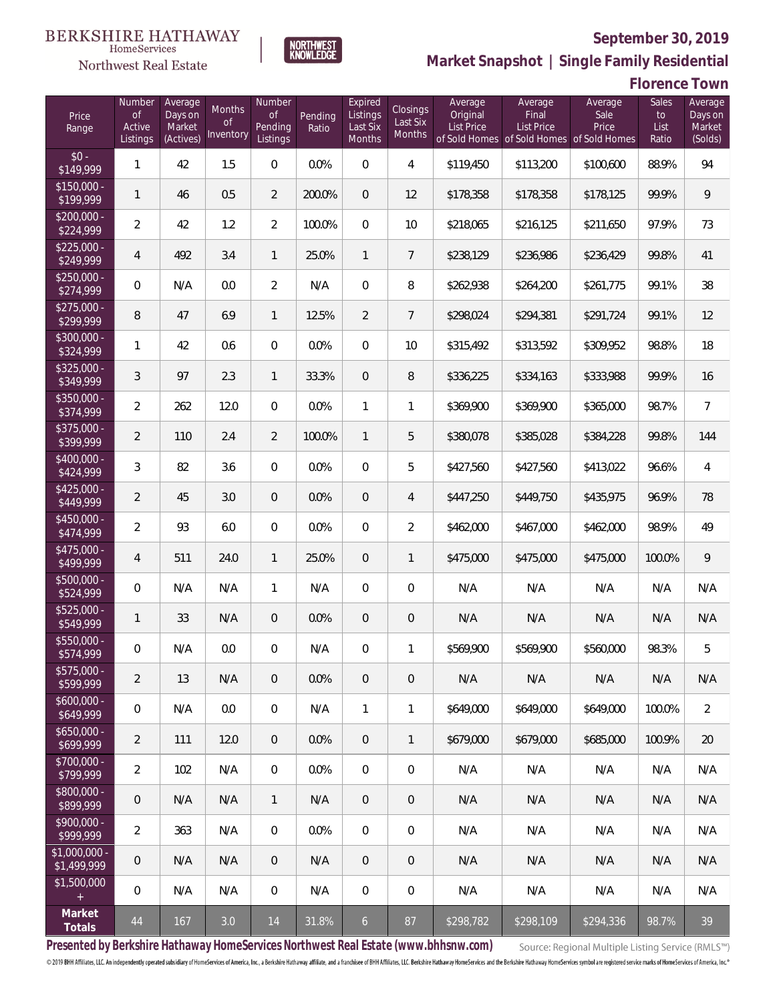

NORTHWEST<br>KNOWLEDGE

Northwest Real Estate

**Market Snapshot | Single Family Residential**

**Florence Town**

| Price<br>Range                | Number<br><b>of</b><br>Active<br>Listings | Average<br>Days on<br>Market<br>(Actives) | Months<br>Οf<br>Inventory | Number<br>of<br>Pending<br>Listings | Pending<br>Ratio | Expired<br>Listings<br>Last Six<br>Months | Closings<br>Last Six<br>Months | Average<br>Original<br>List Price<br>of Sold Homes | Average<br>Final<br><b>List Price</b><br>of Sold Homes of Sold Homes | Average<br>Sale<br>Price | Sales<br>to<br>List<br>Ratio | Average<br>Days on<br>Market<br>(Solds) |
|-------------------------------|-------------------------------------------|-------------------------------------------|---------------------------|-------------------------------------|------------------|-------------------------------------------|--------------------------------|----------------------------------------------------|----------------------------------------------------------------------|--------------------------|------------------------------|-----------------------------------------|
| $$0 -$<br>\$149,999           | 1                                         | 42                                        | 1.5                       | $\overline{0}$                      | 0.0%             | $\overline{0}$                            | $\overline{4}$                 | \$119,450                                          | \$113,200                                                            | \$100,600                | 88.9%                        | 94                                      |
| $$150,000 -$<br>\$199,999     | 1                                         | 46                                        | 0.5                       | $\overline{2}$                      | 200.0%           | $\overline{0}$                            | 12                             | \$178,358                                          | \$178,358                                                            | \$178,125                | 99.9%                        | 9                                       |
| $$200,000 -$<br>\$224,999     | $\overline{2}$                            | 42                                        | 1.2                       | $\overline{2}$                      | 100.0%           | $\overline{0}$                            | 10                             | \$218,065                                          | \$216,125                                                            | \$211,650                | 97.9%                        | 73                                      |
| $$225,000 -$<br>\$249,999     | $\overline{4}$                            | 492                                       | 3.4                       | $\mathbf{1}$                        | 25.0%            | $\mathbf{1}$                              | $\overline{7}$                 | \$238,129                                          | \$236,986                                                            | \$236,429                | 99.8%                        | 41                                      |
| $$250,000 -$<br>\$274,999     | 0                                         | N/A                                       | 0.0                       | $\overline{2}$                      | N/A              | $\overline{0}$                            | 8                              | \$262,938                                          | \$264,200                                                            | \$261,775                | 99.1%                        | 38                                      |
| $$275,000 -$<br>\$299,999     | 8                                         | 47                                        | 6.9                       | $\mathbf{1}$                        | 12.5%            | $\overline{2}$                            | $7\overline{ }$                | \$298,024                                          | \$294,381                                                            | \$291,724                | 99.1%                        | 12                                      |
| $$300,000 -$<br>\$324,999     | 1                                         | 42                                        | 0.6                       | $\overline{0}$                      | 0.0%             | $\overline{0}$                            | 10                             | \$315,492                                          | \$313,592                                                            | \$309,952                | 98.8%                        | 18                                      |
| $$325,000 -$<br>\$349,999     | 3                                         | 97                                        | 2.3                       | $\mathbf{1}$                        | 33.3%            | $\overline{0}$                            | 8                              | \$336,225                                          | \$334,163                                                            | \$333,988                | 99.9%                        | 16                                      |
| $$350,000 -$<br>\$374,999     | $\overline{2}$                            | 262                                       | 12.0                      | $\overline{0}$                      | 0.0%             | $\mathbf{1}$                              | 1                              | \$369,900                                          | \$369,900                                                            | \$365,000                | 98.7%                        | $\overline{7}$                          |
| $$375,000 -$<br>\$399,999     | $\overline{2}$                            | 110                                       | 2.4                       | $\overline{2}$                      | 100.0%           | $\mathbf{1}$                              | 5                              | \$380,078                                          | \$385,028                                                            | \$384,228                | 99.8%                        | 144                                     |
| $$400,000 -$<br>\$424,999     | 3                                         | 82                                        | 3.6                       | $\overline{0}$                      | 0.0%             | $\overline{0}$                            | 5                              | \$427,560                                          | \$427,560                                                            | \$413,022                | 96.6%                        | 4                                       |
| $$425,000 -$<br>\$449,999     | $\overline{2}$                            | 45                                        | 3.0                       | $\overline{0}$                      | 0.0%             | $\overline{0}$                            | $\overline{4}$                 | \$447,250                                          | \$449,750                                                            | \$435,975                | 96.9%                        | 78                                      |
| $$450,000 -$<br>\$474,999     | $\overline{2}$                            | 93                                        | 6.0                       | $\overline{0}$                      | 0.0%             | $\overline{0}$                            | $\overline{2}$                 | \$462,000                                          | \$467,000                                                            | \$462,000                | 98.9%                        | 49                                      |
| $$475,000 -$<br>\$499,999     | 4                                         | 511                                       | 24.0                      | $\mathbf{1}$                        | 25.0%            | $\overline{0}$                            | $\mathbf{1}$                   | \$475,000                                          | \$475,000                                                            | \$475,000                | 100.0%                       | 9                                       |
| \$500,000 -<br>\$524,999      | 0                                         | N/A                                       | N/A                       | $\mathbf{1}$                        | N/A              | $\overline{0}$                            | $\mathbf 0$                    | N/A                                                | N/A                                                                  | N/A                      | N/A                          | N/A                                     |
| \$525,000 -<br>\$549,999      | 1                                         | 33                                        | N/A                       | $\overline{0}$                      | 0.0%             | $\overline{0}$                            | $\theta$                       | N/A                                                | N/A                                                                  | N/A                      | N/A                          | N/A                                     |
| \$550,000 -<br>\$574,999      | 0                                         | N/A                                       | 0.0                       | $\mathbf{0}$                        | N/A              | 0                                         | 1                              | \$569,900                                          | \$569,900                                                            | \$560,000                | 98.3%                        | 5                                       |
| $$575,000 -$<br>\$599,999     | $\overline{2}$                            | 13                                        | N/A                       | $\theta$                            | 0.0%             | 0                                         | $\theta$                       | N/A                                                | N/A                                                                  | N/A                      | N/A                          | N/A                                     |
| $$600,000 -$<br>\$649,999     | 0                                         | N/A                                       | 0.0                       | $\mathbf 0$                         | N/A              | $\mathbf{1}$                              | $\mathbf{1}$                   | \$649,000                                          | \$649,000                                                            | \$649,000                | 100.0%                       | $\overline{2}$                          |
| $$650,000 -$<br>\$699,999     | $\overline{2}$                            | 111                                       | 12.0                      | $\overline{0}$                      | 0.0%             | $\sqrt{0}$                                | $\mathbf{1}$                   | \$679,000                                          | \$679,000                                                            | \$685,000                | 100.9%                       | 20                                      |
| \$700,000 -<br>\$799,999      | $\overline{2}$                            | 102                                       | N/A                       | $\mathbf 0$                         | 0.0%             | $\boldsymbol{0}$                          | $\mathbf 0$                    | N/A                                                | N/A                                                                  | N/A                      | N/A                          | N/A                                     |
| \$800,000 -<br>\$899,999      | 0                                         | N/A                                       | N/A                       | $\mathbf{1}$                        | N/A              | $\sqrt{0}$                                | $\sqrt{a}$                     | N/A                                                | N/A                                                                  | N/A                      | N/A                          | N/A                                     |
| $$900,000 -$<br>\$999,999     | $\overline{2}$                            | 363                                       | N/A                       | $\mathbf 0$                         | 0.0%             | $\mathbf 0$                               | $\boldsymbol{0}$               | N/A                                                | N/A                                                                  | N/A                      | N/A                          | N/A                                     |
| $$1,000,000 -$<br>\$1,499,999 | 0                                         | N/A                                       | N/A                       | $\overline{0}$                      | N/A              | $\sqrt{0}$                                | $\theta$                       | N/A                                                | N/A                                                                  | N/A                      | N/A                          | N/A                                     |
| \$1,500,000<br>$\pm$          | 0                                         | N/A                                       | N/A                       | $\overline{0}$                      | N/A              | $\mathbf 0$                               | $\mathbf 0$                    | N/A                                                | N/A                                                                  | N/A                      | N/A                          | N/A                                     |
| Market<br>Totals              | $44\,$                                    | 167                                       | 3.0                       | 14                                  | 31.8%            | $6\overline{6}$                           | 87                             | \$298,782                                          | \$298,109                                                            | \$294,336                | 98.7%                        | 39                                      |

**Presented by Berkshire Hathaway HomeServices Northwest Real Estate (www.bhhsnw.com)**

Source: Regional Multiple Listing Service (RMLS™)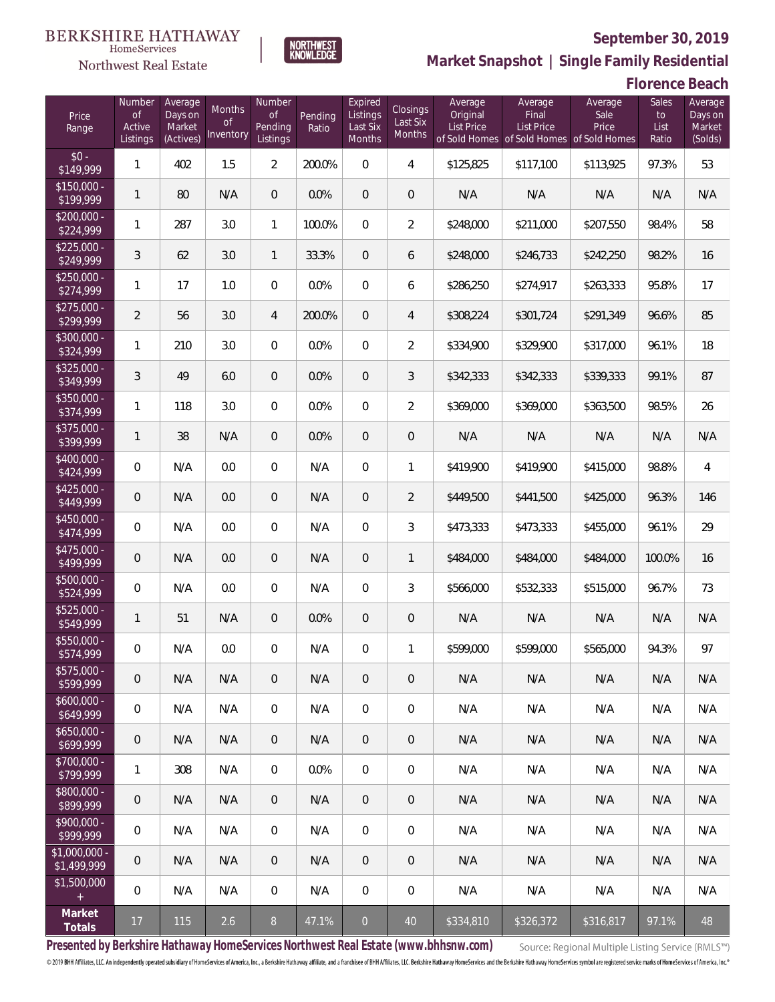

**NORTHWEST**<br>KNOWLEDGE

Northwest Real Estate

**Market Snapshot | Single Family Residential**

**Florence Beach**

| Price<br>Range                | Number<br>of<br>Active<br>Listings | Average<br>Days on<br>Market<br>(Actives) | Months<br>Οf<br>Inventory | Number<br><b>of</b><br><b>Pending</b><br>Listings | Pending<br>Ratio | Expired<br>Listings<br>Last Six<br>Months | Closings<br>Last Six<br>Months | Average<br>Original<br><b>List Price</b> | Average<br>Final<br>List Price<br>of Sold Homes of Sold Homes | Average<br>Sale<br>Price<br>of Sold Homes | Sales<br>to<br>List<br>Ratio | Average<br>Days on<br>Market<br>(Solds) |
|-------------------------------|------------------------------------|-------------------------------------------|---------------------------|---------------------------------------------------|------------------|-------------------------------------------|--------------------------------|------------------------------------------|---------------------------------------------------------------|-------------------------------------------|------------------------------|-----------------------------------------|
| $$0 -$<br>\$149,999           | 1                                  | 402                                       | 1.5                       | $\overline{2}$                                    | 200.0%           | $\overline{0}$                            | $\overline{4}$                 | \$125,825                                | \$117,100                                                     | \$113,925                                 | 97.3%                        | 53                                      |
| $$150,000 -$<br>\$199,999     | 1                                  | 80                                        | N/A                       | $\overline{0}$                                    | 0.0%             | $\overline{0}$                            | $\overline{0}$                 | N/A                                      | N/A                                                           | N/A                                       | N/A                          | N/A                                     |
| $$200,000 -$<br>\$224,999     | 1                                  | 287                                       | 3.0                       | $\mathbf{1}$                                      | 100.0%           | $\overline{0}$                            | $\overline{2}$                 | \$248,000                                | \$211,000                                                     | \$207,550                                 | 98.4%                        | 58                                      |
| $$225,000 -$<br>\$249,999     | 3                                  | 62                                        | 3.0                       | $\mathbf{1}$                                      | 33.3%            | $\overline{0}$                            | 6                              | \$248,000                                | \$246,733                                                     | \$242,250                                 | 98.2%                        | 16                                      |
| $$250,000 -$<br>\$274,999     | 1                                  | 17                                        | 1.0                       | $\overline{0}$                                    | 0.0%             | $\overline{0}$                            | 6                              | \$286,250                                | \$274,917                                                     | \$263,333                                 | 95.8%                        | 17                                      |
| $$275,000 -$<br>\$299,999     | $\overline{2}$                     | 56                                        | 3.0                       | 4                                                 | 200.0%           | $\overline{0}$                            | $\overline{4}$                 | \$308,224                                | \$301,724                                                     | \$291,349                                 | 96.6%                        | 85                                      |
| \$300,000 -<br>\$324,999      | 1                                  | 210                                       | 3.0                       | $\overline{0}$                                    | 0.0%             | $\overline{0}$                            | $\overline{2}$                 | \$334,900                                | \$329,900                                                     | \$317,000                                 | 96.1%                        | 18                                      |
| $$325,000 -$<br>\$349,999     | 3                                  | 49                                        | 6.0                       | $\overline{0}$                                    | 0.0%             | $\overline{0}$                            | 3                              | \$342,333                                | \$342,333                                                     | \$339,333                                 | 99.1%                        | 87                                      |
| \$350,000 -<br>\$374,999      | 1                                  | 118                                       | 3.0                       | $\overline{0}$                                    | 0.0%             | $\overline{0}$                            | $\overline{2}$                 | \$369,000                                | \$369,000                                                     | \$363,500                                 | 98.5%                        | 26                                      |
| \$375,000 -<br>\$399,999      | 1                                  | 38                                        | N/A                       | $\overline{0}$                                    | 0.0%             | $\overline{0}$                            | $\mathbf 0$                    | N/A                                      | N/A                                                           | N/A                                       | N/A                          | N/A                                     |
| \$400,000 -<br>\$424,999      | $\mathbf{0}$                       | N/A                                       | 0.0                       | $\overline{0}$                                    | N/A              | $\overline{0}$                            | $\mathbf{1}$                   | \$419,900                                | \$419,900                                                     | \$415,000                                 | 98.8%                        | 4                                       |
| $$425,000 -$<br>\$449,999     | 0                                  | N/A                                       | 0.0                       | $\overline{0}$                                    | N/A              | $\overline{0}$                            | $\overline{2}$                 | \$449,500                                | \$441,500                                                     | \$425,000                                 | 96.3%                        | 146                                     |
| $$450,000 -$<br>\$474,999     | $\overline{0}$                     | N/A                                       | 0.0                       | $\overline{0}$                                    | N/A              | $\overline{0}$                            | 3                              | \$473,333                                | \$473,333                                                     | \$455,000                                 | 96.1%                        | 29                                      |
| $$475,000 -$<br>\$499,999     | 0                                  | N/A                                       | 0.0                       | $\overline{0}$                                    | N/A              | $\overline{0}$                            | $\mathbf{1}$                   | \$484,000                                | \$484,000                                                     | \$484,000                                 | 100.0%                       | 16                                      |
| $$500,000 -$<br>\$524,999     | $\overline{0}$                     | N/A                                       | 0.0                       | $\overline{0}$                                    | N/A              | $\overline{0}$                            | 3                              | \$566,000                                | \$532,333                                                     | \$515,000                                 | 96.7%                        | 73                                      |
| $$525,000 -$<br>\$549,999     | 1                                  | 51                                        | N/A                       | $\overline{0}$                                    | 0.0%             | $\overline{0}$                            | $\mathbf 0$                    | N/A                                      | N/A                                                           | N/A                                       | N/A                          | N/A                                     |
| \$550,000 -<br>\$574,999      | 0                                  | N/A                                       | $0.0\,$                   | 0                                                 | N/A              | $\overline{0}$                            | 1                              | \$599,000                                | \$599,000                                                     | \$565,000                                 | 94.3%                        | 97                                      |
| \$575,000 -<br>\$599,999      | 0                                  | N/A                                       | N/A                       | $\overline{0}$                                    | N/A              | $\overline{0}$                            | 0                              | N/A                                      | N/A                                                           | N/A                                       | N/A                          | N/A                                     |
| $$600,000 -$<br>\$649,999     | $\mathbf 0$                        | N/A                                       | N/A                       | $\mathbf 0$                                       | N/A              | $\mathbf 0$                               | 0                              | N/A                                      | N/A                                                           | N/A                                       | N/A                          | N/A                                     |
| $$650,000 -$<br>\$699,999     | $\overline{0}$                     | N/A                                       | N/A                       | $\overline{0}$                                    | N/A              | $\overline{0}$                            | 0                              | N/A                                      | N/A                                                           | N/A                                       | N/A                          | N/A                                     |
| $$700,000 -$<br>\$799,999     | 1                                  | 308                                       | N/A                       | $\mathbf 0$                                       | 0.0%             | $\mathbf 0$                               | 0                              | N/A                                      | N/A                                                           | N/A                                       | N/A                          | N/A                                     |
| $$800,000 -$<br>\$899,999     | $\mathbf 0$                        | N/A                                       | N/A                       | $\overline{0}$                                    | N/A              | $\overline{0}$                            | 0                              | N/A                                      | N/A                                                           | N/A                                       | N/A                          | N/A                                     |
| $$900,000 -$<br>\$999,999     | $\mathbf 0$                        | N/A                                       | N/A                       | $\mathbf 0$                                       | N/A              | $\mathbf 0$                               | 0                              | N/A                                      | N/A                                                           | N/A                                       | N/A                          | N/A                                     |
| $$1,000,000$ -<br>\$1,499,999 | $\overline{0}$                     | N/A                                       | N/A                       | $\overline{0}$                                    | N/A              | $\overline{0}$                            | 0                              | N/A                                      | N/A                                                           | N/A                                       | N/A                          | N/A                                     |
| \$1,500,000<br>$\pm$          | $\mathbf 0$                        | N/A                                       | N/A                       | $\overline{0}$                                    | N/A              | $\mathbf 0$                               | $\mathbf{0}$                   | N/A                                      | N/A                                                           | N/A                                       | N/A                          | N/A                                     |
| Market<br>Totals              | 17                                 | 115                                       | 2.6                       | $8\,$                                             | 47.1%            | $\overline{0}$                            | 40                             | \$334,810                                | \$326,372                                                     | \$316,817                                 | 97.1%                        | 48                                      |

**Presented by Berkshire Hathaway HomeServices Northwest Real Estate (www.bhhsnw.com)**

Source: Regional Multiple Listing Service (RMLS™)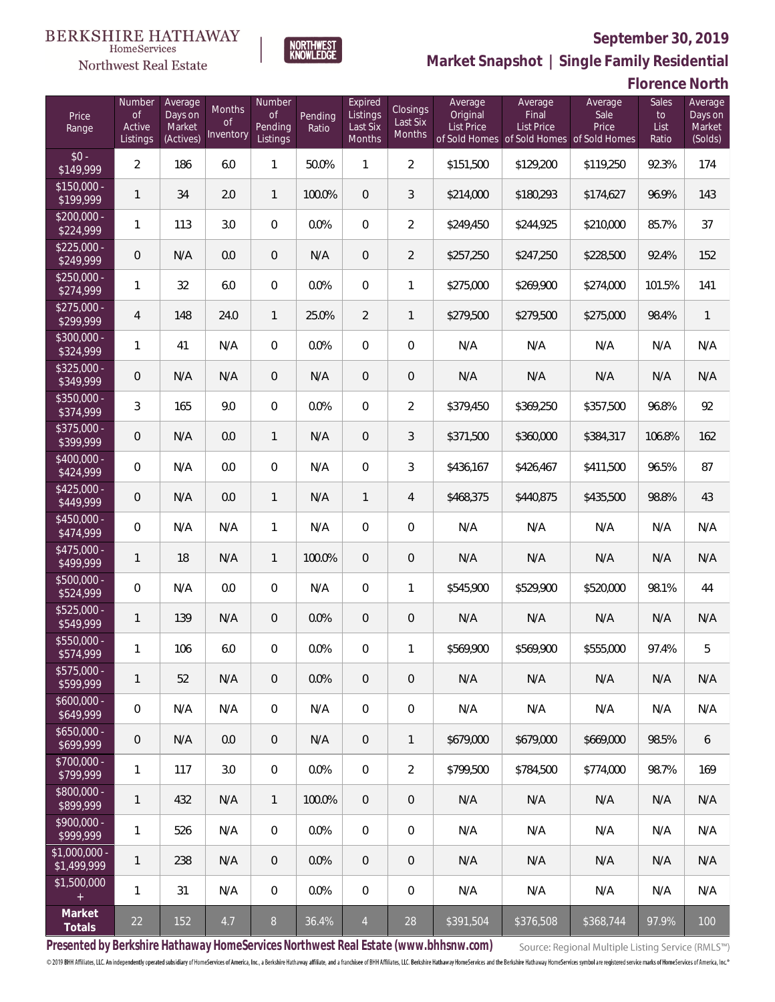

**NORTHWEST**<br>KNOWLEDGE

**Market Snapshot | Single Family Residential**

#### **Florence North**

| Price<br>Range                | Number<br><b>of</b><br>Active<br>Listings | Average<br>Days on<br>Market<br>(Actives) | <b>Months</b><br><b>of</b><br>Inventory | Number<br><b>of</b><br>Pending<br>Listings | Pending<br>Ratio | Expired<br>Listings<br>Last Six<br>Months | Closings<br>Last Six<br>Months | Average<br>Original<br><b>List Price</b><br>of Sold Homes | Average<br>Final<br><b>List Price</b><br>of Sold Homes of Sold Homes | Average<br>Sale<br>Price | Sales<br>to<br>List<br>Ratio | Average<br>Days on<br>Market<br>(Solds) |
|-------------------------------|-------------------------------------------|-------------------------------------------|-----------------------------------------|--------------------------------------------|------------------|-------------------------------------------|--------------------------------|-----------------------------------------------------------|----------------------------------------------------------------------|--------------------------|------------------------------|-----------------------------------------|
| $$0 -$<br>\$149,999           | $\overline{2}$                            | 186                                       | 6.0                                     | 1                                          | 50.0%            | 1                                         | $\overline{2}$                 | \$151,500                                                 | \$129,200                                                            | \$119,250                | 92.3%                        | 174                                     |
| $$150,000 -$<br>\$199,999     | 1                                         | 34                                        | 2.0                                     | $\mathbf{1}$                               | 100.0%           | $\overline{0}$                            | 3                              | \$214,000                                                 | \$180,293                                                            | \$174,627                | 96.9%                        | 143                                     |
| $$200,000 -$<br>\$224,999     | 1                                         | 113                                       | 3.0                                     | $\overline{0}$                             | 0.0%             | $\overline{0}$                            | $\overline{2}$                 | \$249,450                                                 | \$244,925                                                            | \$210,000                | 85.7%                        | 37                                      |
| $$225,000 -$<br>\$249,999     | 0                                         | N/A                                       | 0.0                                     | $\overline{0}$                             | N/A              | $\overline{0}$                            | $\overline{2}$                 | \$257,250                                                 | \$247,250                                                            | \$228,500                | 92.4%                        | 152                                     |
| $$250,000 -$<br>\$274,999     | 1                                         | 32                                        | 6.0                                     | $\overline{0}$                             | 0.0%             | $\Omega$                                  | 1                              | \$275,000                                                 | \$269,900                                                            | \$274,000                | 101.5%                       | 141                                     |
| $$275,000 -$<br>\$299,999     | $\overline{4}$                            | 148                                       | 24.0                                    | $\mathbf{1}$                               | 25.0%            | $\overline{2}$                            | $\mathbf{1}$                   | \$279,500                                                 | \$279,500                                                            | \$275,000                | 98.4%                        | $\mathbf{1}$                            |
| $$300,000 -$<br>\$324,999     | 1                                         | 41                                        | N/A                                     | $\overline{0}$                             | 0.0%             | $\overline{0}$                            | $\overline{0}$                 | N/A                                                       | N/A                                                                  | N/A                      | N/A                          | N/A                                     |
| $$325,000 -$<br>\$349,999     | 0                                         | N/A                                       | N/A                                     | $\overline{0}$                             | N/A              | $\overline{0}$                            | $\theta$                       | N/A                                                       | N/A                                                                  | N/A                      | N/A                          | N/A                                     |
| $$350,000 -$<br>\$374,999     | 3                                         | 165                                       | 9.0                                     | $\overline{0}$                             | 0.0%             | $\overline{0}$                            | $\overline{2}$                 | \$379,450                                                 | \$369,250                                                            | \$357,500                | 96.8%                        | 92                                      |
| $$375,000 -$<br>\$399,999     | 0                                         | N/A                                       | 0.0                                     | $\mathbf{1}$                               | N/A              | $\overline{0}$                            | 3                              | \$371,500                                                 | \$360,000                                                            | \$384,317                | 106.8%                       | 162                                     |
| \$400,000 -<br>\$424,999      | 0                                         | N/A                                       | 0.0                                     | $\overline{0}$                             | N/A              | $\overline{0}$                            | $\mathfrak{Z}$                 | \$436,167                                                 | \$426,467                                                            | \$411,500                | 96.5%                        | 87                                      |
| $$425,000 -$<br>\$449,999     | 0                                         | N/A                                       | 0.0                                     | $\mathbf{1}$                               | N/A              | $\mathbf{1}$                              | 4                              | \$468,375                                                 | \$440,875                                                            | \$435,500                | 98.8%                        | 43                                      |
| $$450,000 -$<br>\$474,999     | 0                                         | N/A                                       | N/A                                     | $\mathbf{1}$                               | N/A              | $\overline{0}$                            | $\mathbf 0$                    | N/A                                                       | N/A                                                                  | N/A                      | N/A                          | N/A                                     |
| \$475,000 -<br>\$499,999      | 1                                         | 18                                        | N/A                                     | $\mathbf{1}$                               | 100.0%           | $\overline{0}$                            | $\theta$                       | N/A                                                       | N/A                                                                  | N/A                      | N/A                          | N/A                                     |
| \$500,000 -<br>\$524,999      | 0                                         | N/A                                       | 0.0                                     | $\overline{0}$                             | N/A              | $\overline{0}$                            | 1                              | \$545,900                                                 | \$529,900                                                            | \$520,000                | 98.1%                        | 44                                      |
| \$525,000 -<br>\$549,999      | 1                                         | 139                                       | N/A                                     | $\overline{0}$                             | 0.0%             | $\overline{0}$                            | $\theta$                       | N/A                                                       | N/A                                                                  | N/A                      | N/A                          | N/A                                     |
| \$550,000 -<br>\$574,999      | 1                                         | 106                                       | 6.0                                     | $\mathbf{0}$                               | 0.0%             | $\overline{0}$                            | 1                              | \$569,900                                                 | \$569,900                                                            | \$555,000                | 97.4%                        | 5                                       |
| $$575,000 -$<br>\$599,999     | 1                                         | 52                                        | N/A                                     | $\theta$                                   | 0.0%             | 0                                         | $\theta$                       | N/A                                                       | N/A                                                                  | N/A                      | N/A                          | N/A                                     |
| $$600,000 -$<br>\$649,999     | 0                                         | N/A                                       | N/A                                     | $\mathbf 0$                                | N/A              | $\mathbf 0$                               | $\mathbf 0$                    | N/A                                                       | N/A                                                                  | N/A                      | N/A                          | N/A                                     |
| $$650,000 -$<br>\$699,999     | $\mathbf 0$                               | N/A                                       | 0.0                                     | $\overline{0}$                             | N/A              | $\overline{0}$                            | $\mathbf{1}$                   | \$679,000                                                 | \$679,000                                                            | \$669,000                | 98.5%                        | 6                                       |
| \$700,000 -<br>\$799,999      | $\mathbf{1}$                              | 117                                       | 3.0                                     | $\mathbf 0$                                | 0.0%             | $\boldsymbol{0}$                          | $\overline{2}$                 | \$799,500                                                 | \$784,500                                                            | \$774,000                | 98.7%                        | 169                                     |
| \$800,000 -<br>\$899,999      | 1                                         | 432                                       | N/A                                     | $\mathbf{1}$                               | 100.0%           | $\sqrt{0}$                                | $\theta$                       | N/A                                                       | N/A                                                                  | N/A                      | N/A                          | N/A                                     |
| $$900,000 -$<br>\$999,999     | $\mathbf{1}$                              | 526                                       | N/A                                     | $\mathbf 0$                                | 0.0%             | $\mathbf 0$                               | $\mathbf 0$                    | N/A                                                       | N/A                                                                  | N/A                      | N/A                          | N/A                                     |
| $$1,000,000 -$<br>\$1,499,999 | $\mathbf{1}$                              | 238                                       | N/A                                     | $\overline{0}$                             | 0.0%             | $\sqrt{0}$                                | $\theta$                       | N/A                                                       | N/A                                                                  | N/A                      | N/A                          | N/A                                     |
| \$1,500,000<br>$\pm$          | $\mathbf{1}$                              | 31                                        | N/A                                     | $\overline{0}$                             | 0.0%             | $\mathbf 0$                               | $\mathbf 0$                    | N/A                                                       | N/A                                                                  | N/A                      | N/A                          | N/A                                     |
| Market<br>Totals              | 22                                        | 152                                       | 4.7                                     | $8\,$                                      | 36.4%            | $\overline{4}$                            | 28                             | \$391,504                                                 | \$376,508                                                            | \$368,744                | 97.9%                        | 100                                     |

**Presented by Berkshire Hathaway HomeServices Northwest Real Estate (www.bhhsnw.com)**

Source: Regional Multiple Listing Service (RMLS™)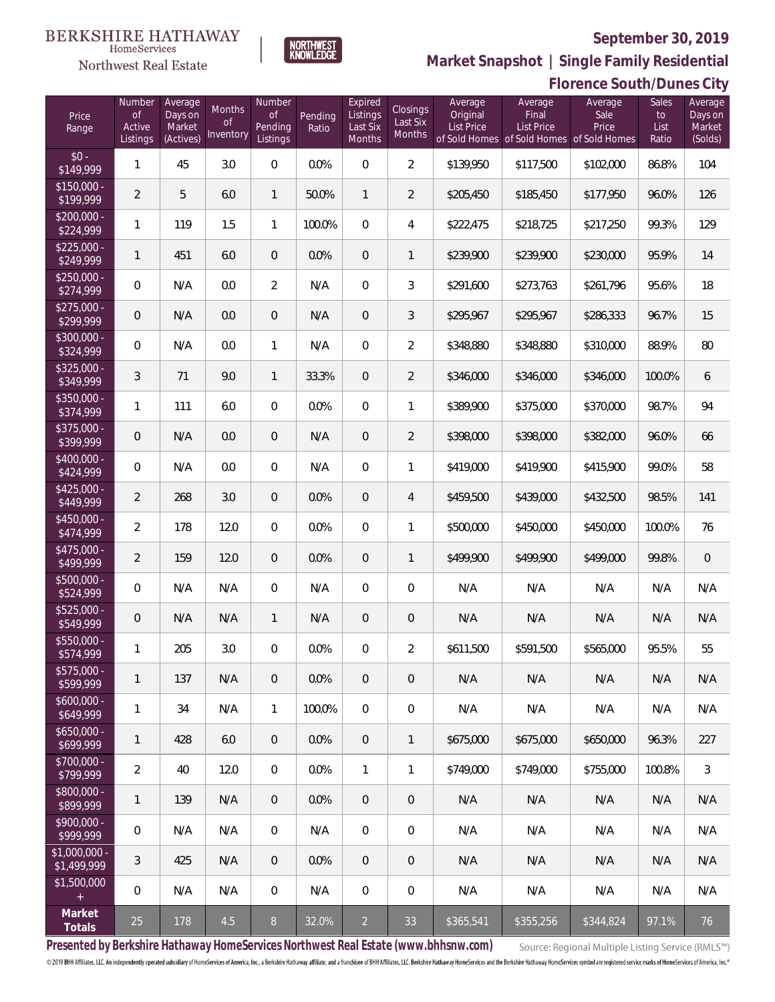#### **BERKSHIRE HATHAWAY** HomeServices

**NORTHWEST**<br>KNOWLEDGE

# **Northwest Real Estate**

 $$350$ <br> $$374$ 

 $$375$ <br> $$399$ 

 $$700$ 

 $$1,000$ 

 $$1,50$ 



**Florence South/Dunes City**

**Market Snapshot | Single Family Residential**

| Price<br>Range               | Number<br>$\mathsf{of}$<br>Active<br>Listings | Average<br>Days on<br>Market<br>(Actives) | Months<br><b>of</b><br>Inventory | Number<br><b>of</b><br>Pending<br>Listings | Pending<br>Ratio | Expired<br>Listings<br>Last Six<br>Months | <b>Closings</b><br>Last Six<br>Months | Average<br>Original<br><b>List Price</b> | Average<br>Final<br><b>List Price</b><br>of Sold Homes of Sold Homes of Sold Homes | Average<br>Sale<br>Price | Sales<br>to<br>List<br>Ratio | Average<br>Days on<br>Market<br>(Solds) |
|------------------------------|-----------------------------------------------|-------------------------------------------|----------------------------------|--------------------------------------------|------------------|-------------------------------------------|---------------------------------------|------------------------------------------|------------------------------------------------------------------------------------|--------------------------|------------------------------|-----------------------------------------|
| $$0 -$<br>\$149,999          | 1                                             | 45                                        | 3.0                              | 0                                          | 0.0%             | $\overline{0}$                            | $\overline{2}$                        | \$139,950                                | \$117,500                                                                          | \$102,000                | 86.8%                        | 104                                     |
| $$150,000 -$<br>\$199,999    | $\overline{2}$                                | 5                                         | 6.0                              | 1                                          | 50.0%            | $\mathbf{1}$                              | $\overline{2}$                        | \$205,450                                | \$185,450                                                                          | \$177,950                | 96.0%                        | 126                                     |
| $$200,000 -$<br>\$224,999    | 1                                             | 119                                       | 1.5                              | 1                                          | 100.0%           | $\overline{0}$                            | 4                                     | \$222,475                                | \$218,725                                                                          | \$217,250                | 99.3%                        | 129                                     |
| $$225,000 -$<br>\$249,999    | 1                                             | 451                                       | 6.0                              | $\overline{0}$                             | 0.0%             | $\overline{0}$                            | 1                                     | \$239,900                                | \$239,900                                                                          | \$230,000                | 95.9%                        | 14                                      |
| $$250,000 -$<br>\$274,999    | 0                                             | N/A                                       | 0.0                              | $\overline{2}$                             | N/A              | $\overline{0}$                            | 3                                     | \$291,600                                | \$273,763                                                                          | \$261,796                | 95.6%                        | 18                                      |
| $$275,000 -$<br>\$299,999    | $\overline{0}$                                | N/A                                       | 0.0                              | $\boldsymbol{0}$                           | N/A              | $\overline{0}$                            | 3                                     | \$295,967                                | \$295,967                                                                          | \$286,333                | 96.7%                        | 15                                      |
| \$300,000 -<br>\$324,999     | $\overline{0}$                                | N/A                                       | 0.0                              | 1                                          | N/A              | $\overline{0}$                            | $\overline{2}$                        | \$348.880                                | \$348,880                                                                          | \$310,000                | 88.9%                        | 80                                      |
| $$325,000 -$<br>\$349,999    | 3                                             | 71                                        | 9.0                              | 1                                          | 33.3%            | $\overline{0}$                            | $\overline{2}$                        | \$346,000                                | \$346,000                                                                          | \$346,000                | 100.0%                       | 6                                       |
| \$350,000 -<br>\$374,999     | 1                                             | 111                                       | 6.0                              | $\overline{0}$                             | 0.0%             | $\overline{0}$                            | $\mathbf{1}$                          | \$389,900                                | \$375,000                                                                          | \$370,000                | 98.7%                        | 94                                      |
| \$375,000 -<br>\$399,999     | $\overline{0}$                                | N/A                                       | 0.0                              | $\overline{0}$                             | N/A              | $\overline{0}$                            | $\overline{2}$                        | \$398,000                                | \$398,000                                                                          | \$382,000                | 96.0%                        | 66                                      |
| \$400,000 -<br>\$424,999     | $\overline{0}$                                | N/A                                       | 0.0                              | $\overline{0}$                             | N/A              | $\overline{0}$                            | 1                                     | \$419,000                                | \$419,900                                                                          | \$415,900                | 99.0%                        | 58                                      |
| \$425,000 -<br>\$449,999     | $\overline{2}$                                | 268                                       | 3.0                              | $\overline{0}$                             | 0.0%             | $\overline{0}$                            | $\overline{4}$                        | \$459,500                                | \$439,000                                                                          | \$432,500                | 98.5%                        | 141                                     |
| \$450,000 -<br>\$474,999     | $\overline{2}$                                | 178                                       | 12.0                             | $\boldsymbol{0}$                           | 0.0%             | $\overline{0}$                            | 1                                     | \$500,000                                | \$450,000                                                                          | \$450,000                | 100.0%                       | 76                                      |
| \$475,000 -<br>\$499,999     | $\overline{2}$                                | 159                                       | 12.0                             | $\overline{0}$                             | 0.0%             | $\overline{0}$                            | 1                                     | \$499,900                                | \$499,900                                                                          | \$499,000                | 99.8%                        | $\overline{0}$                          |
| \$500,000 -<br>\$524,999     | $\overline{0}$                                | N/A                                       | N/A                              | $\overline{0}$                             | N/A              | $\overline{0}$                            | $\overline{0}$                        | N/A                                      | N/A                                                                                | N/A                      | N/A                          | N/A                                     |
| \$525,000 -<br>\$549,999     | $\overline{0}$                                | N/A                                       | N/A                              | 1                                          | N/A              | $\overline{0}$                            | $\mathbf 0$                           | N/A                                      | N/A                                                                                | N/A                      | N/A                          | N/A                                     |
| \$550,000 -<br>\$574,999     | 1                                             | 205                                       | 3.0                              | $\overline{0}$                             | 0.0%             | $\overline{0}$                            | $\overline{2}$                        | \$611,500                                | \$591,500                                                                          | \$565,000                | 95.5%                        | 55                                      |
| \$575,000 -<br>\$599,999     | 1                                             | 137                                       | N/A                              | 0                                          | 0.0%             | $\mathbf 0$                               | $\overline{0}$                        | N/A                                      | N/A                                                                                | N/A                      | N/A                          | N/A                                     |
| \$600,000 -<br>\$649,999     | 1                                             | 34                                        | N/A                              | 1                                          | 100.0%           | 0                                         | 0                                     | N/A                                      | N/A                                                                                | N/A                      | N/A                          | N/A                                     |
| $$650,000 -$<br>\$699,999    | 1                                             | 428                                       | 6.0                              | $\overline{0}$                             | 0.0%             | $\overline{0}$                            | 1                                     | \$675,000                                | \$675,000                                                                          | \$650,000                | 96.3%                        | 227                                     |
| \$700,000 -<br>\$799,999     | $\overline{a}$                                | 40                                        | 12.0                             | 0                                          | 0.0%             | $\mathbf{1}$                              | 1                                     | \$749,000                                | \$749,000                                                                          | \$755,000                | 100.8%                       | 3                                       |
| \$800,000 -<br>\$899,999     | 1                                             | 139                                       | N/A                              | $\overline{0}$                             | 0.0%             | $\overline{0}$                            | $\mathbf 0$                           | N/A                                      | N/A                                                                                | N/A                      | N/A                          | N/A                                     |
| \$900,000 -<br>\$999,999     | $\mathbf 0$                                   | N/A                                       | N/A                              | $\overline{0}$                             | N/A              | 0                                         | 0                                     | N/A                                      | N/A                                                                                | N/A                      | N/A                          | N/A                                     |
| \$1,000,000 -<br>\$1,499,999 | 3                                             | 425                                       | N/A                              | $\overline{0}$                             | 0.0%             | $\theta$                                  | $\overline{0}$                        | N/A                                      | N/A                                                                                | N/A                      | N/A                          | N/A                                     |
| \$1,500,000<br>$^+$          | $\mathbf 0$                                   | N/A                                       | N/A                              | 0                                          | N/A              | $\boldsymbol{0}$                          | 0                                     | N/A                                      | N/A                                                                                | N/A                      | N/A                          | N/A                                     |
| Market<br>Totals             | 25                                            | 178                                       | 4.5                              | $\, 8$                                     | 32.0%            | $\overline{2}$                            | 33                                    | \$365,541                                | \$355,256                                                                          | \$344,824                | 97.1%                        | 76                                      |

**Presented by Berkshire Hathaway HomeServices Northwest Real Estate (www.bhhsnw.com)**

Source: Regional Multiple Listing Service (RMLS™)